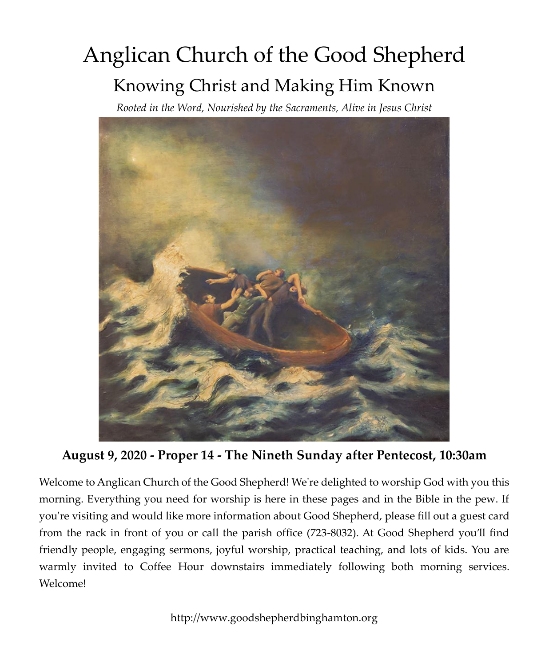# Anglican Church of the Good Shepherd Knowing Christ and Making Him Known

*Rooted in the Word, Nourished by the Sacraments, Alive in Jesus Christ*



**August 9, 2020 - Proper 14 - The Nineth Sunday after Pentecost, 10:30am**

Welcome to Anglican Church of the Good Shepherd! We're delighted to worship God with you this morning. Everything you need for worship is here in these pages and in the Bible in the pew. If you're visiting and would like more information about Good Shepherd, please fill out a guest card from the rack in front of you or call the parish office (723-8032). At Good Shepherd you'll find friendly people, engaging sermons, joyful worship, practical teaching, and lots of kids. You are warmly invited to Coffee Hour downstairs immediately following both morning services. Welcome!

http://www.goodshepherdbinghamton.org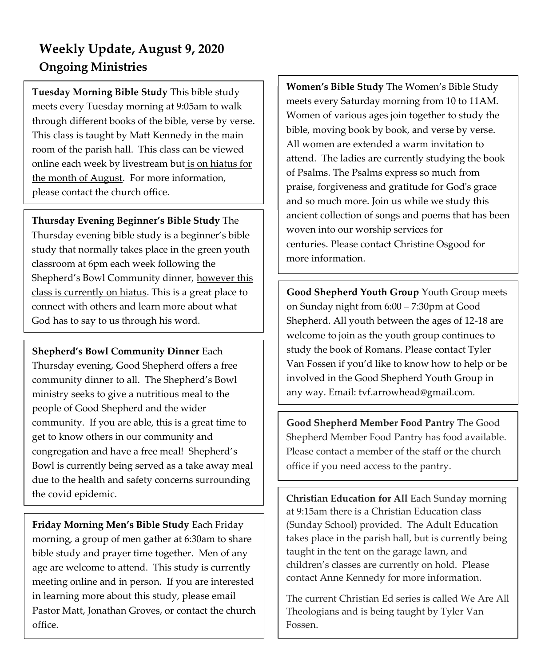### **Weekly Update, August 9, 2020 Ongoing Ministries**

**Tuesday Morning Bible Study** This bible study meets every Tuesday morning at 9:05am to walk through different books of the bible, verse by verse. This class is taught by Matt Kennedy in the main room of the parish hall. This class can be viewed online each week by livestream but is on hiatus for the month of August. For more information, please contact the church office.

**Thursday Evening Beginner's Bible Study** The Thursday evening bible study is a beginner's bible study that normally takes place in the green youth classroom at 6pm each week following the Shepherd's Bowl Community dinner, however this class is currently on hiatus. This is a great place to connect with others and learn more about what God has to say to us through his word.

**Shepherd's Bowl Community Dinner** Each Thursday evening, Good Shepherd offers a free community dinner to all. The Shepherd's Bowl ministry seeks to give a nutritious meal to the people of Good Shepherd and the wider community. If you are able, this is a great time to get to know others in our community and congregation and have a free meal! Shepherd's Bowl is currently being served as a take away meal due to the health and safety concerns surrounding the covid epidemic.

**Friday Morning Men's Bible Study** Each Friday morning, a group of men gather at 6:30am to share bible study and prayer time together. Men of any age are welcome to attend. This study is currently meeting online and in person. If you are interested in learning more about this study, please email Pastor Matt, Jonathan Groves, or contact the church office.

meets every Saturday morning from 10 to 11AM. Women of various ages join together to study the bible, moving book by book, and verse by verse. All women are extended a warm invitation to attend. The ladies are currently studying the book of Psalms. The Psalms express so much from praise, forgiveness and gratitude for God's grace and so much more. Join us while we study this **Women's Bible Study** The Women's Bible Study ancient collection of songs and poems that has been woven into our worship services for centuries. Please contact Christine Osgood for more information.

*The women's bible study is currently paused. Please see Christine Osgood for more information.* **Good Shepherd Youth Group** Youth Group meets on Sunday night from 6:00 – 7:30pm at Good Shepherd. All youth between the ages of 12-18 are welcome to join as the youth group continues to study the book of Romans. Please contact Tyler Van Fossen if you'd like to know how to help or be involved in the Good Shepherd Youth Group in any way. Email: tvf.arrowhead@gmail.com.

**Good Shepherd Member Food Pantry** The Good Shepherd Member Food Pantry has food available. Please contact a member of the staff or the church office if you need access to the pantry.

**Christian Education for All** Each Sunday morning at 9:15am there is a Christian Education class (Sunday School) provided. The Adult Education takes place in the parish hall, but is currently being taught in the tent on the garage lawn, and children's classes are currently on hold. Please contact Anne Kennedy for more information.

The current Christian Ed series is called We Are All Theologians and is being taught by Tyler Van Fossen.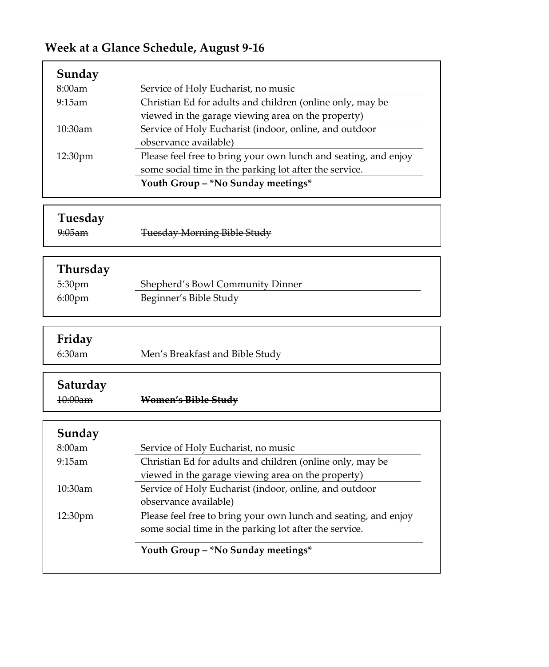### **Week at a Glance Schedule, August 9-16**

| Service of Holy Eucharist, no music                             |
|-----------------------------------------------------------------|
|                                                                 |
| Christian Ed for adults and children (online only, may be       |
| viewed in the garage viewing area on the property)              |
| Service of Holy Eucharist (indoor, online, and outdoor          |
| observance available)                                           |
| Please feel free to bring your own lunch and seating, and enjoy |
| some social time in the parking lot after the service.          |
| Youth Group - *No Sunday meetings*                              |
|                                                                 |

### **Tuesday**

9:05am Tuesday Morning Bible Study

### **Thursday**

| 5:30 <sub>pm</sub> | Shepherd's Bowl Community Dinner |
|--------------------|----------------------------------|
| $6:00$ pm          | Beginner's Bible Study           |

### **Friday**

| Saturday           |                     |  |
|--------------------|---------------------|--|
| <del>10:00am</del> | Women's Bible Study |  |
|                    |                     |  |

| 8:00am<br>9:15am      | Service of Holy Eucharist, no music<br>Christian Ed for adults and children (online only, may be |
|-----------------------|--------------------------------------------------------------------------------------------------|
|                       |                                                                                                  |
|                       |                                                                                                  |
|                       | viewed in the garage viewing area on the property)                                               |
| 10:30am               | Service of Holy Eucharist (indoor, online, and outdoor                                           |
| observance available) |                                                                                                  |
| 12:30 <sub>pm</sub>   | Please feel free to bring your own lunch and seating, and enjoy                                  |
|                       | some social time in the parking lot after the service.                                           |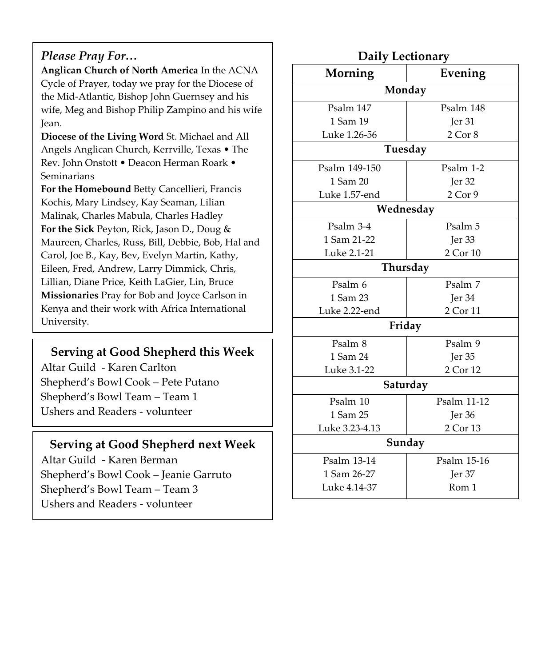#### *Please Pray For…*

**Anglican Church of North America** In the ACNA Cycle of Prayer, today we pray for the Diocese of the Mid-Atlantic, Bishop John Guernsey and his wife, Meg and Bishop Philip Zampino and his wife Jean.

**Diocese of the Living Word** St. Michael and All Angels Anglican Church, Kerrville, Texas • The Rev. John Onstott • Deacon Herman Roark • Seminarians

**For the Homebound** Betty Cancellieri, Francis Kochis, Mary Lindsey, Kay Seaman, Lilian Malinak, Charles Mabula, Charles Hadley **For the Sick** Peyton, Rick, Jason D., Doug & Maureen, Charles, Russ, Bill, Debbie, Bob, Hal and Carol, Joe B., Kay, Bev, Evelyn Martin, Kathy, Eileen, Fred, Andrew, Larry Dimmick, Chris, Lillian, Diane Price, Keith LaGier, Lin, Bruce **Missionaries** Pray for Bob and Joyce Carlson in Kenya and their work with Africa International University.

### **Serving at Good Shepherd this Week**

Altar Guild - Karen Carlton Shepherd's Bowl Cook – Pete Putano Shepherd's Bowl Team – Team 1 Ushers and Readers - volunteer

#### **Serving at Good Shepherd next Week**

Altar Guild - Karen Berman Shepherd's Bowl Cook – Jeanie Garruto Shepherd's Bowl Team – Team 3 Ushers and Readers - volunteer

| Daily Lectionary |                   |  |  |
|------------------|-------------------|--|--|
| Morning          | Evening           |  |  |
|                  | Monday            |  |  |
| Psalm 147        | Psalm 148         |  |  |
| 1 Sam 19         | Jer 31            |  |  |
| Luke 1.26-56     | $2$ Cor $8$       |  |  |
| Tuesday          |                   |  |  |
| Psalm 149-150    | Psalm 1-2         |  |  |
| 1 Sam 20         | Jer 32            |  |  |
| Luke 1.57-end    | $2$ Cor $9$       |  |  |
| Wednesday        |                   |  |  |
| Psalm 3-4        | Psalm 5           |  |  |
| 1 Sam 21-22      | Jer <sub>33</sub> |  |  |
| Luke 2.1-21      | 2 Cor 10          |  |  |
| Thursday         |                   |  |  |
| Psalm 6          | Psalm 7           |  |  |
| 1 Sam 23         | Jer 34            |  |  |
| Luke 2.22-end    | 2 Cor 11          |  |  |
| Friday           |                   |  |  |
| Psalm 8          | Psalm 9           |  |  |
| 1 Sam 24         | Jer 35            |  |  |
| Luke 3.1-22      | 2 Cor 12          |  |  |
| Saturday         |                   |  |  |
| Psalm 10         | Psalm 11-12       |  |  |
| 1 Sam 25         | Jer <sub>36</sub> |  |  |
| Luke 3.23-4.13   | 2 Cor 13          |  |  |
| Sunday           |                   |  |  |
| Psalm 13-14      | Psalm 15-16       |  |  |
| 1 Sam 26-27      | Jer <sub>37</sub> |  |  |
| Luke 4.14-37     | Rom 1             |  |  |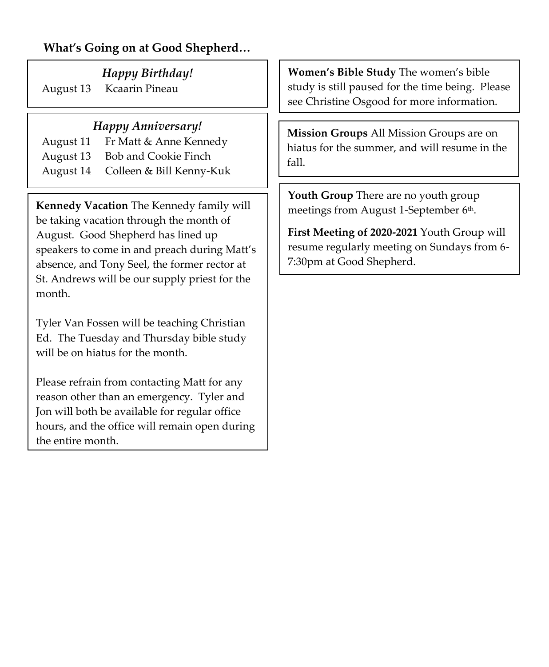### **What's Going on at Good Shepherd…**

*Happy Birthday!* August 13 Kcaarin Pineau

#### *Happy Anniversary!*

August 11 Fr Matt & Anne Kennedy August 13 Bob and Cookie Finch August 14 Colleen & Bill Kenny-Kuk

**Kennedy Vacation** The Kennedy family will be taking vacation through the month of August. Good Shepherd has lined up speakers to come in and preach during Matt's absence, and Tony Seel, the former rector at St. Andrews will be our supply priest for the month.

Tyler Van Fossen will be teaching Christian Ed. The Tuesday and Thursday bible study will be on hiatus for the month.

Please refrain from contacting Matt for any reason other than an emergency. Tyler and Jon will both be available for regular office hours, and the office will remain open during the entire month.

**Women's Bible Study** The women's bible study is still paused for the time being. Please see Christine Osgood for more information.

**Mission Groups** All Mission Groups are on hiatus for the summer, and will resume in the fall.

**Youth Group** There are no youth group meetings from August 1-September  $6<sup>th</sup>$ .

**First Meeting of 2020-2021** Youth Group will resume regularly meeting on Sundays from 6- 7:30pm at Good Shepherd.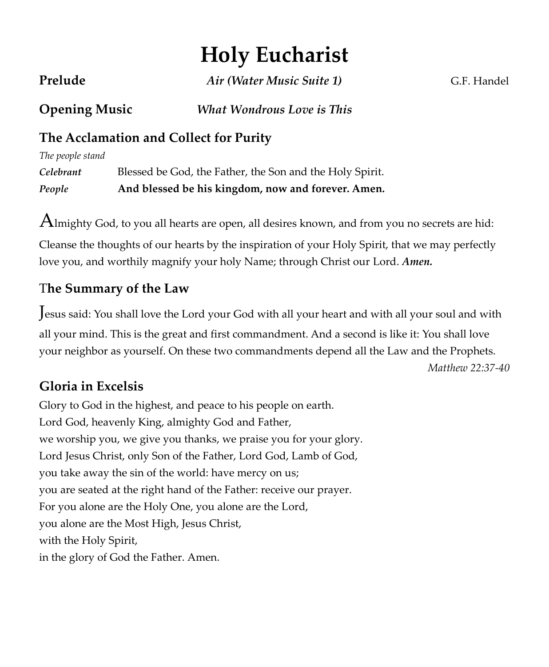# **Holy Eucharist**

**Prelude** *Air (Water Music Suite 1)*G.F. Handel

**Opening Music** *What Wondrous Love is This*

### **The Acclamation and Collect for Purity**

*The people stand* *Celebrant* Blessed be God, the Father, the Son and the Holy Spirit. *People* **And blessed be his kingdom, now and forever. Amen.**

 $A$ lmighty God, to you all hearts are open, all desires known, and from you no secrets are hid:

Cleanse the thoughts of our hearts by the inspiration of your Holy Spirit, that we may perfectly love you, and worthily magnify your holy Name; through Christ our Lord. *Amen.*

### T**he Summary of the Law**

Jesus said: You shall love the Lord your God with all your heart and with all your soul and with all your mind. This is the great and first commandment. And a second is like it: You shall love your neighbor as yourself. On these two commandments depend all the Law and the Prophets.

*Matthew 22:37-40*

### **Gloria in Excelsis**

Glory to God in the highest, and peace to his people on earth. Lord God, heavenly King, almighty God and Father, we worship you, we give you thanks, we praise you for your glory. Lord Jesus Christ, only Son of the Father, Lord God, Lamb of God, you take away the sin of the world: have mercy on us; you are seated at the right hand of the Father: receive our prayer. For you alone are the Holy One, you alone are the Lord, you alone are the Most High, Jesus Christ, with the Holy Spirit, in the glory of God the Father. Amen.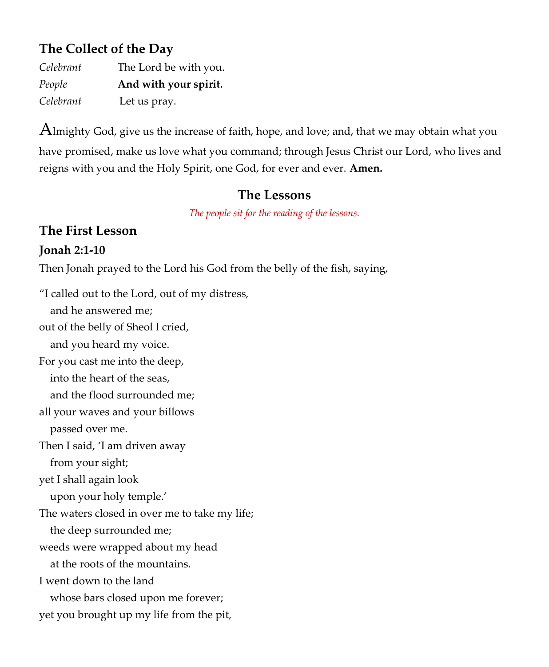### **The Collect of the Day**

| Celebrant | The Lord be with you. |
|-----------|-----------------------|
| People    | And with your spirit. |
| Celebrant | Let us pray.          |

Almighty God, give us the increase of faith, hope, and love; and, that we may obtain what you have promised, make us love what you command; through Jesus Christ our Lord, who lives and reigns with you and the Holy Spirit, one God, for ever and ever. **Amen.**

### **The Lessons**

*The people sit for the reading of the lessons.*

### **The First Lesson Jonah 2:1-10**

Then Jonah prayed to the Lord his God from the belly of the fish, saying,

"I called out to the Lord, out of my distress, and he answered me; out of the belly of Sheol I cried, and you heard my voice. For you cast me into the deep, into the heart of the seas, and the flood surrounded me; all your waves and your billows passed over me. Then I said, 'I am driven away from your sight; yet I shall again look upon your holy temple.' The waters closed in over me to take my life; the deep surrounded me; weeds were wrapped about my head at the roots of the mountains. I went down to the land whose bars closed upon me forever; yet you brought up my life from the pit,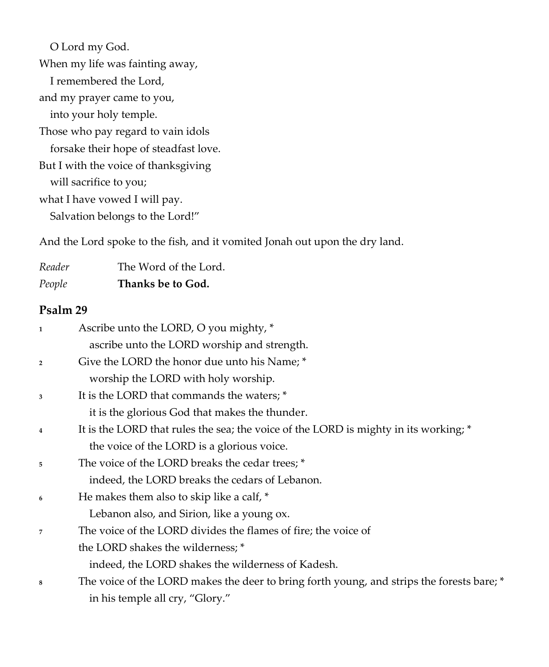O Lord my God. When my life was fainting away, I remembered the Lord, and my prayer came to you, into your holy temple. Those who pay regard to vain idols forsake their hope of steadfast love. But I with the voice of thanksgiving will sacrifice to you; what I have vowed I will pay. Salvation belongs to the Lord!"

And the Lord spoke to the fish, and it vomited Jonah out upon the dry land.

| Reader | The Word of the Lord. |
|--------|-----------------------|
| People | Thanks be to God.     |

#### **Psalm 29**

| $\mathbf{1}$            | Ascribe unto the LORD, O you mighty, *                                                    |
|-------------------------|-------------------------------------------------------------------------------------------|
|                         | ascribe unto the LORD worship and strength.                                               |
| $\overline{2}$          | Give the LORD the honor due unto his Name; *                                              |
|                         | worship the LORD with holy worship.                                                       |
| 3                       | It is the LORD that commands the waters; *                                                |
|                         | it is the glorious God that makes the thunder.                                            |
| $\overline{\mathbf{4}}$ | It is the LORD that rules the sea; the voice of the LORD is mighty in its working; *      |
|                         | the voice of the LORD is a glorious voice.                                                |
| 5                       | The voice of the LORD breaks the cedar trees; *                                           |
|                         | indeed, the LORD breaks the cedars of Lebanon.                                            |
| 6                       | He makes them also to skip like a calf, *                                                 |
|                         | Lebanon also, and Sirion, like a young ox.                                                |
| 7                       | The voice of the LORD divides the flames of fire; the voice of                            |
|                         | the LORD shakes the wilderness; *                                                         |
|                         | indeed, the LORD shakes the wilderness of Kadesh.                                         |
| 8                       | The voice of the LORD makes the deer to bring forth young, and strips the forests bare; * |
|                         | in his temple all cry, "Glory."                                                           |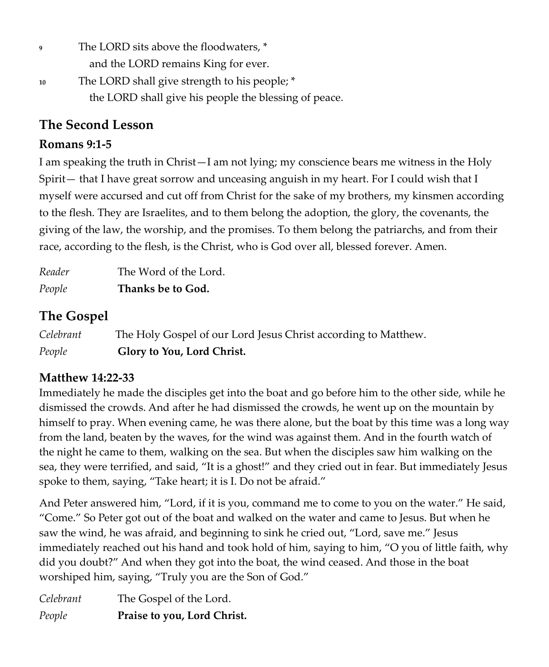**9** The LORD sits above the floodwaters,  $*$  and the LORD remains King for ever. **<sup>10</sup>** The LORD shall give strength to his people; \* the LORD shall give his people the blessing of peace.

### **The Second Lesson**

### **Romans 9:1-5**

I am speaking the truth in Christ—I am not lying; my conscience bears me witness in the Holy Spirit— that I have great sorrow and unceasing anguish in my heart. For I could wish that I myself were accursed and cut off from Christ for the sake of my brothers, my kinsmen according to the flesh. They are Israelites, and to them belong the adoption, the glory, the covenants, the giving of the law, the worship, and the promises. To them belong the patriarchs, and from their race, according to the flesh, is the Christ, who is God over all, blessed forever. Amen.

| Reader | The Word of the Lord. |
|--------|-----------------------|
| People | Thanks be to God.     |

### **The Gospel**

*Celebrant* The Holy Gospel of our Lord Jesus Christ according to Matthew. *People* **Glory to You, Lord Christ.**

### **Matthew 14:22-33**

Immediately he made the disciples get into the boat and go before him to the other side, while he dismissed the crowds. And after he had dismissed the crowds, he went up on the mountain by himself to pray. When evening came, he was there alone, but the boat by this time was a long way from the land, beaten by the waves, for the wind was against them. And in the fourth watch of the night he came to them, walking on the sea. But when the disciples saw him walking on the sea, they were terrified, and said, "It is a ghost!" and they cried out in fear. But immediately Jesus spoke to them, saying, "Take heart; it is I. Do not be afraid."

And Peter answered him, "Lord, if it is you, command me to come to you on the water." He said, "Come." So Peter got out of the boat and walked on the water and came to Jesus. But when he saw the wind, he was afraid, and beginning to sink he cried out, "Lord, save me." Jesus immediately reached out his hand and took hold of him, saying to him, "O you of little faith, why did you doubt?" And when they got into the boat, the wind ceased. And those in the boat worshiped him, saying, "Truly you are the Son of God."

*Celebrant* The Gospel of the Lord. *People* **Praise to you, Lord Christ.**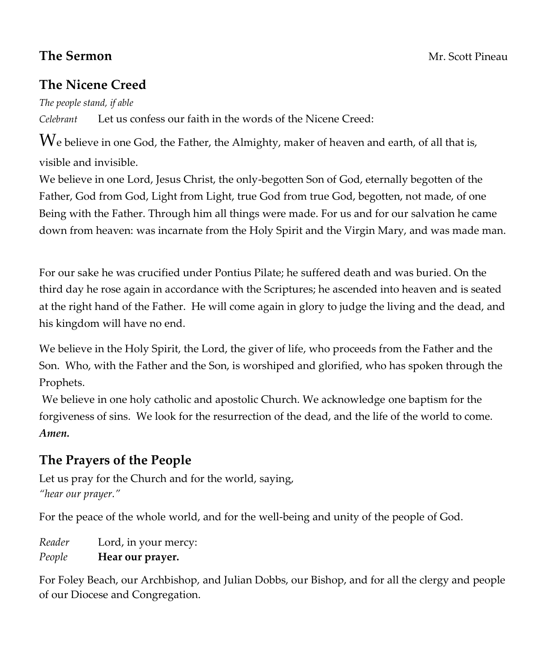### **The Nicene Creed**

*The people stand, if able Celebrant* Let us confess our faith in the words of the Nicene Creed:

We believe in one God, the Father, the Almighty, maker of heaven and earth, of all that is, visible and invisible.

We believe in one Lord, Jesus Christ, the only-begotten Son of God, eternally begotten of the Father, God from God, Light from Light, true God from true God, begotten, not made, of one Being with the Father. Through him all things were made. For us and for our salvation he came down from heaven: was incarnate from the Holy Spirit and the Virgin Mary, and was made man.

For our sake he was crucified under Pontius Pilate; he suffered death and was buried. On the third day he rose again in accordance with the Scriptures; he ascended into heaven and is seated at the right hand of the Father. He will come again in glory to judge the living and the dead, and his kingdom will have no end.

We believe in the Holy Spirit, the Lord, the giver of life, who proceeds from the Father and the Son. Who, with the Father and the Son, is worshiped and glorified, who has spoken through the Prophets.

We believe in one holy catholic and apostolic Church. We acknowledge one baptism for the forgiveness of sins. We look for the resurrection of the dead, and the life of the world to come. *Amen.*

### **The Prayers of the People**

Let us pray for the Church and for the world, saying, *"hear our prayer."* 

For the peace of the whole world, and for the well-being and unity of the people of God.

*Reader* Lord, in your mercy: *People* **Hear our prayer.** 

For Foley Beach, our Archbishop, and Julian Dobbs, our Bishop, and for all the clergy and people of our Diocese and Congregation.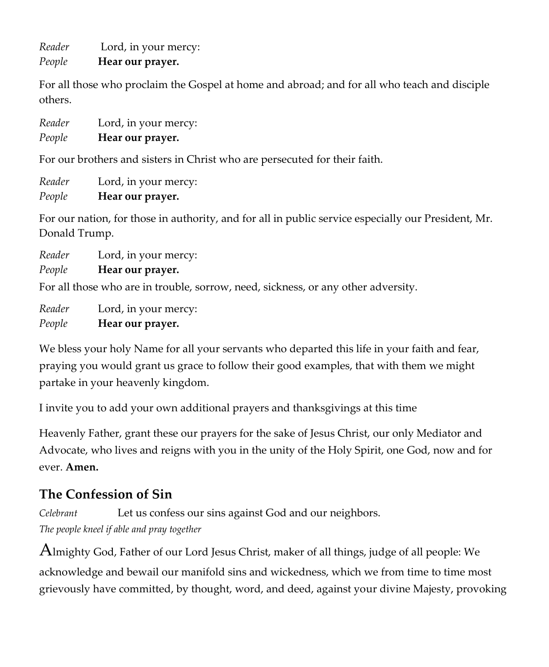*Reader* Lord, in your mercy: *People* **Hear our prayer.** 

For all those who proclaim the Gospel at home and abroad; and for all who teach and disciple others.

*Reader* Lord, in your mercy: *People* **Hear our prayer.** 

For our brothers and sisters in Christ who are persecuted for their faith.

*Reader* Lord, in your mercy: *People* **Hear our prayer.** 

For our nation, for those in authority, and for all in public service especially our President, Mr. Donald Trump.

*Reader* Lord, in your mercy: *People* **Hear our prayer.**

For all those who are in trouble, sorrow, need, sickness, or any other adversity.

*Reader* Lord, in your mercy: *People* **Hear our prayer.**

We bless your holy Name for all your servants who departed this life in your faith and fear, praying you would grant us grace to follow their good examples, that with them we might partake in your heavenly kingdom.

I invite you to add your own additional prayers and thanksgivings at this time

Heavenly Father, grant these our prayers for the sake of Jesus Christ, our only Mediator and Advocate, who lives and reigns with you in the unity of the Holy Spirit, one God, now and for ever. **Amen.**

### **The Confession of Sin**

*Celebrant* Let us confess our sins against God and our neighbors. *The people kneel if able and pray together*

Almighty God, Father of our Lord Jesus Christ, maker of all things, judge of all people: We acknowledge and bewail our manifold sins and wickedness, which we from time to time most grievously have committed, by thought, word, and deed, against your divine Majesty, provoking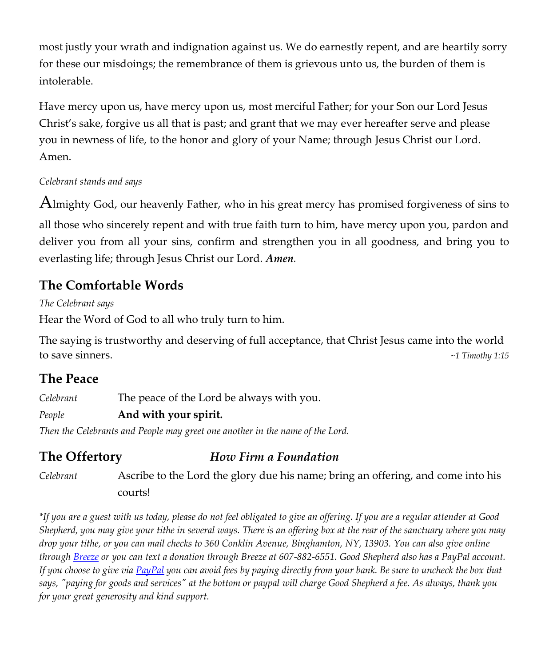most justly your wrath and indignation against us. We do earnestly repent, and are heartily sorry for these our misdoings; the remembrance of them is grievous unto us, the burden of them is intolerable.

Have mercy upon us, have mercy upon us, most merciful Father; for your Son our Lord Jesus Christ's sake, forgive us all that is past; and grant that we may ever hereafter serve and please you in newness of life, to the honor and glory of your Name; through Jesus Christ our Lord. Amen.

#### *Celebrant stands and says*

Almighty God, our heavenly Father, who in his great mercy has promised forgiveness of sins to all those who sincerely repent and with true faith turn to him, have mercy upon you, pardon and deliver you from all your sins, confirm and strengthen you in all goodness, and bring you to everlasting life; through Jesus Christ our Lord. *Amen.*

### **The Comfortable Words**

*The Celebrant says*

Hear the Word of God to all who truly turn to him.

The saying is trustworthy and deserving of full acceptance, that Christ Jesus came into the world to save sinners. *~1 Timothy 1:15*

### **The Peace**

*Celebrant* The peace of the Lord be always with you. *People* **And with your spirit.**

*Then the Celebrants and People may greet one another in the name of the Lord.*

**The Offertory** *How Firm a Foundation Celebrant* Ascribe to the Lord the glory due his name; bring an offering, and come into his courts!

*\*If you are a guest with us today, please do not feel obligated to give an offering. If you are a regular attender at Good Shepherd, you may give your tithe in several ways. There is an offering box at the rear of the sanctuary where you may drop your tithe, or you can mail checks to 360 Conklin Avenue, Binghamton, NY, 13903. You can also give online throug[h Breeze](https://goodshepherdbinghamton.breezechms.com/give/online) or you can text a donation through Breeze at 607-882-6551. Good Shepherd also has a PayPal account. If you choose to give vi[a PayPal](https://www.paypal.me/GSBinghamton?utm_source=unp&utm_medium=email&utm_campaign=PPC000654&utm_unptid=42acbf38-6ada-11ea-b9a4-b875c0f50354&ppid=PPC000654&cnac=US&rsta=en_US&cust=8MVRVDQC795TS&unptid=42acbf38-6ada-11ea-b9a4-b875c0f50354&calc=69b6c6cb4a105&unp_tpcid=ppme-social-business-profile-created&page=main:email:PPC000654:::&pgrp=main:email&e=cl&mchn=em&s=ci&mail=sys) you can avoid fees by paying directly from your bank. Be sure to uncheck the box that says, "paying for goods and services" at the bottom or paypal will charge Good Shepherd a fee. As always, thank you for your great generosity and kind support.*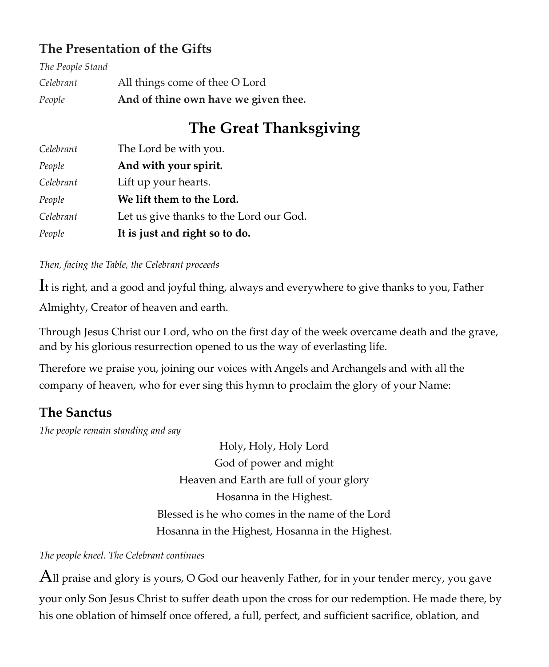### **The Presentation of the Gifts**

| People           | And of thine own have we given thee. |
|------------------|--------------------------------------|
| Celebrant        | All things come of thee O Lord       |
| The People Stand |                                      |

## **The Great Thanksgiving**

| Celebrant | The Lord be with you.                   |
|-----------|-----------------------------------------|
| People    | And with your spirit.                   |
| Celebrant | Lift up your hearts.                    |
| People    | We lift them to the Lord.               |
| Celebrant | Let us give thanks to the Lord our God. |
| People    | It is just and right so to do.          |

#### *Then, facing the Table, the Celebrant proceeds*

It is right, and a good and joyful thing, always and everywhere to give thanks to you, Father

Almighty, Creator of heaven and earth.

Through Jesus Christ our Lord, who on the first day of the week overcame death and the grave, and by his glorious resurrection opened to us the way of everlasting life.

Therefore we praise you, joining our voices with Angels and Archangels and with all the company of heaven, who for ever sing this hymn to proclaim the glory of your Name:

### **The Sanctus**

*The people remain standing and say*

Holy, Holy, Holy Lord God of power and might Heaven and Earth are full of your glory Hosanna in the Highest. Blessed is he who comes in the name of the Lord Hosanna in the Highest, Hosanna in the Highest.

*The people kneel. The Celebrant continues*

All praise and glory is yours, O God our heavenly Father, for in your tender mercy, you gave your only Son Jesus Christ to suffer death upon the cross for our redemption. He made there, by his one oblation of himself once offered, a full, perfect, and sufficient sacrifice, oblation, and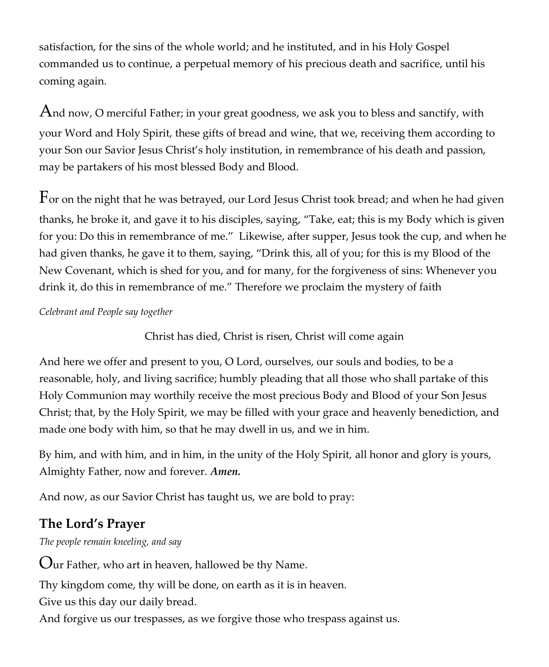satisfaction, for the sins of the whole world; and he instituted, and in his Holy Gospel commanded us to continue, a perpetual memory of his precious death and sacrifice, until his coming again.

And now, O merciful Father; in your great goodness, we ask you to bless and sanctify, with your Word and Holy Spirit, these gifts of bread and wine, that we, receiving them according to your Son our Savior Jesus Christ's holy institution, in remembrance of his death and passion, may be partakers of his most blessed Body and Blood.

For on the night that he was betrayed, our Lord Jesus Christ took bread; and when he had given thanks, he broke it, and gave it to his disciples, saying, "Take, eat; this is my Body which is given for you: Do this in remembrance of me." Likewise, after supper, Jesus took the cup, and when he had given thanks, he gave it to them, saying, "Drink this, all of you; for this is my Blood of the New Covenant, which is shed for you, and for many, for the forgiveness of sins: Whenever you drink it, do this in remembrance of me." Therefore we proclaim the mystery of faith

*Celebrant and People say together*

Christ has died, Christ is risen, Christ will come again

And here we offer and present to you, O Lord, ourselves, our souls and bodies, to be a reasonable, holy, and living sacrifice; humbly pleading that all those who shall partake of this Holy Communion may worthily receive the most precious Body and Blood of your Son Jesus Christ; that, by the Holy Spirit, we may be filled with your grace and heavenly benediction, and made one body with him, so that he may dwell in us, and we in him.

By him, and with him, and in him, in the unity of the Holy Spirit, all honor and glory is yours, Almighty Father, now and forever. *Amen.*

And now, as our Savior Christ has taught us, we are bold to pray:

### **The Lord's Prayer**

*The people remain kneeling, and say*

Our Father, who art in heaven, hallowed be thy Name.

Thy kingdom come, thy will be done, on earth as it is in heaven.

Give us this day our daily bread.

And forgive us our trespasses, as we forgive those who trespass against us.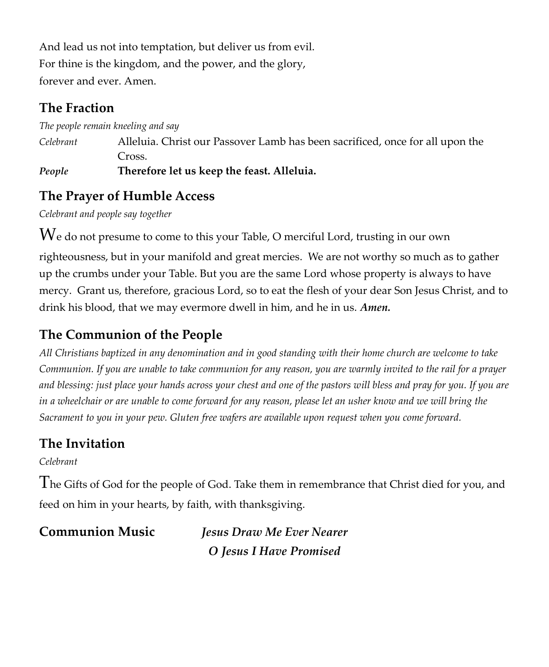And lead us not into temptation, but deliver us from evil. For thine is the kingdom, and the power, and the glory, forever and ever. Amen.

### **The Fraction**

*The people remain kneeling and say Celebrant* Alleluia. Christ our Passover Lamb has been sacrificed, once for all upon the Cross. *People* **Therefore let us keep the feast. Alleluia.**

### **The Prayer of Humble Access**

*Celebrant and people say together*

 $\operatorname{We}$  do not presume to come to this your Table, O merciful Lord, trusting in our own

righteousness, but in your manifold and great mercies. We are not worthy so much as to gather up the crumbs under your Table. But you are the same Lord whose property is always to have mercy. Grant us, therefore, gracious Lord, so to eat the flesh of your dear Son Jesus Christ, and to drink his blood, that we may evermore dwell in him, and he in us. *Amen.*

## **The Communion of the People**

*All Christians baptized in any denomination and in good standing with their home church are welcome to take Communion. If you are unable to take communion for any reason, you are warmly invited to the rail for a prayer and blessing: just place your hands across your chest and one of the pastors will bless and pray for you. If you are in a wheelchair or are unable to come forward for any reason, please let an usher know and we will bring the Sacrament to you in your pew. Gluten free wafers are available upon request when you come forward.*

## **The Invitation**

### *Celebrant*

The Gifts of God for the people of God. Take them in remembrance that Christ died for you, and feed on him in your hearts, by faith, with thanksgiving.

**Communion Music** *Jesus Draw Me Ever Nearer O Jesus I Have Promised*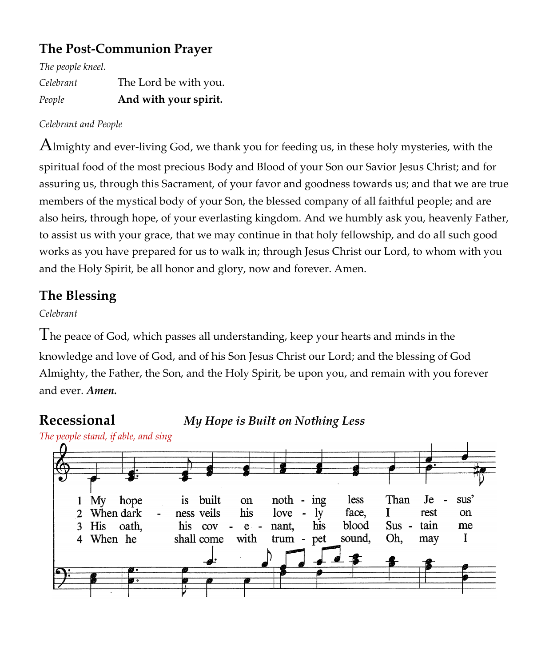### **The Post-Communion Prayer**

*The people kneel.* 

*Celebrant* The Lord be with you. *People* **And with your spirit.**

#### *Celebrant and People*

 $A$ lmighty and ever-living God, we thank you for feeding us, in these holy mysteries, with the spiritual food of the most precious Body and Blood of your Son our Savior Jesus Christ; and for assuring us, through this Sacrament, of your favor and goodness towards us; and that we are true members of the mystical body of your Son, the blessed company of all faithful people; and are also heirs, through hope, of your everlasting kingdom. And we humbly ask you, heavenly Father, to assist us with your grace, that we may continue in that holy fellowship, and do all such good works as you have prepared for us to walk in; through Jesus Christ our Lord, to whom with you and the Holy Spirit, be all honor and glory, now and forever. Amen.

### **The Blessing**

#### *Celebrant*

The peace of God, which passes all understanding, keep your hearts and minds in the knowledge and love of God, and of his Son Jesus Christ our Lord; and the blessing of God Almighty, the Father, the Son, and the Holy Spirit, be upon you, and remain with you forever and ever. *Amen.*

**Recessional** *My Hope is Built on Nothing Less*

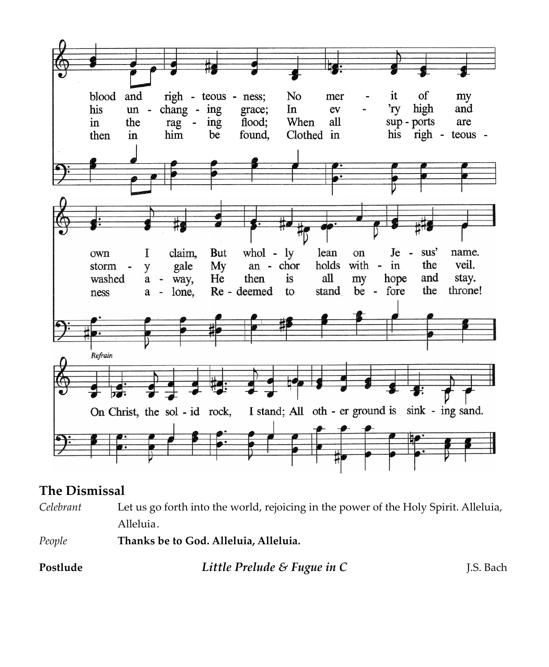

### **The Dismissal**

*Celebrant* Let us go forth into the world, rejoicing in the power of the Holy Spirit. Alleluia, Alleluia.

*People* **Thanks be to God. Alleluia, Alleluia.**

**Postlude** *Little Prelude & Fugue in C* J.S. Bach